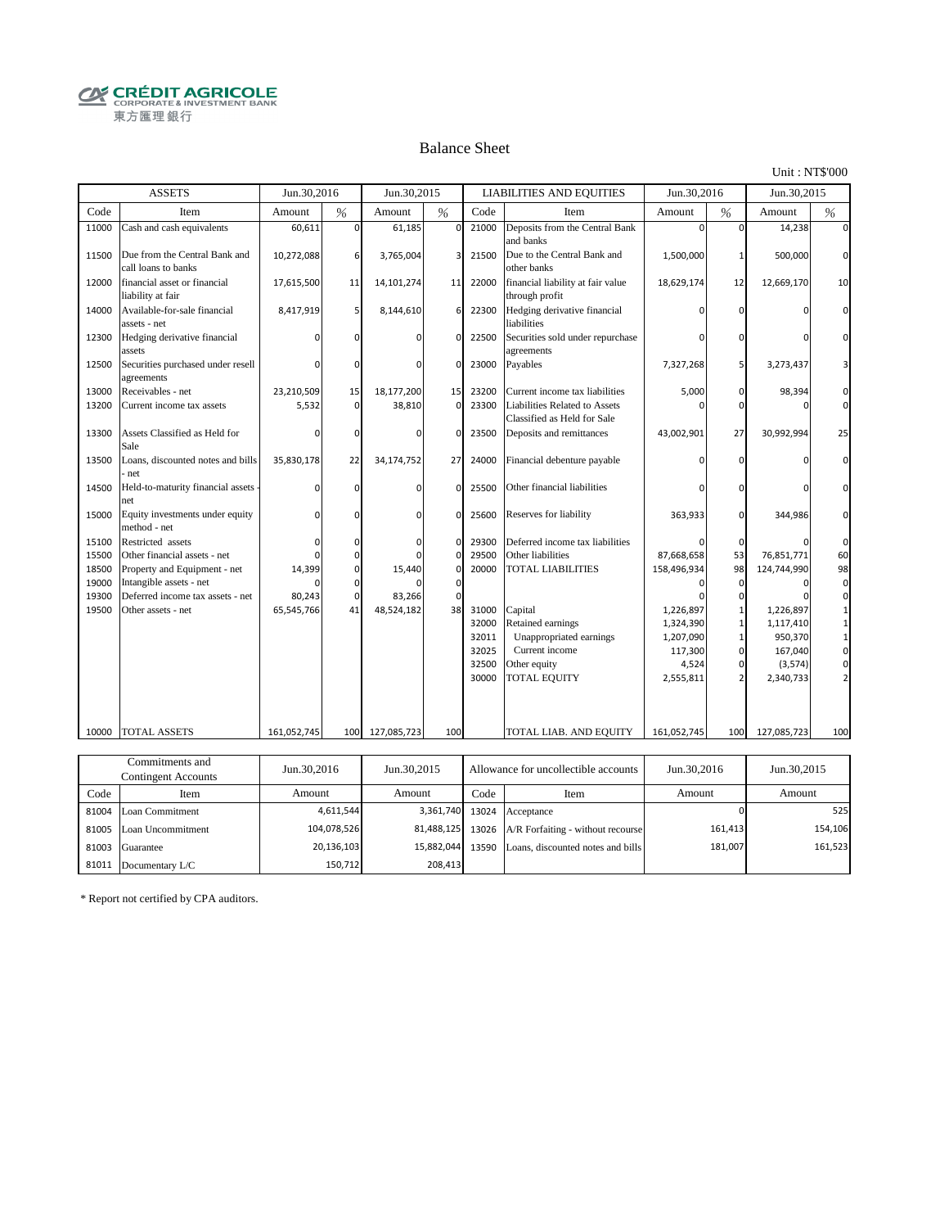**CRÉDIT AGRICOLE** 東方匯理銀行

#### Balance Sheet

Unit : NT\$'000

|       | <b>ASSETS</b>                                        | Jun.30,2016 |                | Jun.30.2015  |             |       | <b>LIABILITIES AND EQUITIES</b>                              | Jun.30,2016 |                | Jun.30,2015 |                |
|-------|------------------------------------------------------|-------------|----------------|--------------|-------------|-------|--------------------------------------------------------------|-------------|----------------|-------------|----------------|
| Code  | Item                                                 | Amount      | %              | Amount       | %           | Code  | Item                                                         | Amount      | %              | Amount      | $\frac{0}{6}$  |
| 11000 | Cash and cash equivalents                            | 60,611      | $\Omega$       | 61,185       | $\Omega$    | 21000 | Deposits from the Central Bank<br>and banks                  | O           | $\Omega$       | 14,238      | $\Omega$       |
| 11500 | Due from the Central Bank and<br>call loans to banks | 10,272,088  | 6              | 3,765,004    | 3           | 21500 | Due to the Central Bank and<br>other banks                   | 1,500,000   | $\mathbf{1}$   | 500,000     | $\mathbf{0}$   |
| 12000 | financial asset or financial<br>liability at fair    | 17,615,500  | 11             | 14,101,274   | 11          | 22000 | financial liability at fair value<br>through profit          | 18,629,174  | 12             | 12,669,170  | 10             |
| 14000 | Available-for-sale financial<br>assets - net         | 8,417,919   | 5 <sub>l</sub> | 8,144,610    | 6           | 22300 | Hedging derivative financial<br>liabilities                  |             | $\Omega$       |             | $\Omega$       |
| 12300 | Hedging derivative financial<br>assets               |             | $\Omega$       |              | $\mathbf 0$ | 22500 | Securities sold under repurchase<br>agreements               | ŋ           | $\Omega$       | n           | $\Omega$       |
| 12500 | Securities purchased under resell<br>agreements      |             | $\Omega$       |              | $\Omega$    | 23000 | Payables                                                     | 7,327,268   | 5              | 3,273,437   | 3              |
| 13000 | Receivables - net                                    | 23,210,509  | 15             | 18,177,200   | 15          | 23200 | Current income tax liabilities                               | 5,000       | $\mathbf 0$    | 98,394      | $\mathbf{0}$   |
| 13200 | Current income tax assets                            | 5,532       | $\overline{0}$ | 38,810       | $\Omega$    | 23300 | Liabilities Related to Assets<br>Classified as Held for Sale |             | $\Omega$       |             | $\overline{0}$ |
| 13300 | Assets Classified as Held for<br>Sale                | n           | $\Omega$       | <sup>0</sup> | $\Omega$    | 23500 | Deposits and remittances                                     | 43,002,901  | 27             | 30,992,994  | 25             |
| 13500 | Loans, discounted notes and bills<br>net             | 35,830,178  | 22             | 34,174,752   | 27          | 24000 | Financial debenture payable                                  |             | $\Omega$       |             | $\Omega$       |
| 14500 | Held-to-maturity financial assets<br>net             | $\Omega$    | $\Omega$       | U            | $\Omega$    | 25500 | Other financial liabilities                                  |             | $\Omega$       |             | $\Omega$       |
| 15000 | Equity investments under equity<br>method - net      |             | $\Omega$       | $\Omega$     | $\Omega$    | 25600 | Reserves for liability                                       | 363,933     | $\Omega$       | 344,986     | $\Omega$       |
| 15100 | Restricted assets                                    | $\Omega$    | $\mathbf 0$    | $\Omega$     | $\Omega$    | 29300 | Deferred income tax liabilities                              |             | $\mathbf 0$    |             | $\mathbf 0$    |
| 15500 | Other financial assets - net                         | $\Omega$    | $\Omega$       | U            | $\mathbf 0$ | 29500 | Other liabilities                                            | 87,668,658  | 53             | 76,851,771  | 60             |
| 18500 | Property and Equipment - net                         | 14,399      | $\mathbf{0}$   | 15,440       | $\mathbf 0$ | 20000 | <b>TOTAL LIABILITIES</b>                                     | 158,496,934 | 98             | 124,744,990 | 98             |
| 19000 | Intangible assets - net                              |             | $\mathbf 0$    |              | $\mathbf 0$ |       |                                                              | n           | $\Omega$       | O           | $\mathbf 0$    |
| 19300 | Deferred income tax assets - net                     | 80,243      | $\Omega$       | 83,266       | $\Omega$    |       |                                                              |             | $\Omega$       |             | $\mathbf{0}$   |
| 19500 | Other assets - net                                   | 65,545,766  | 41             | 48,524,182   | 38          | 31000 | Capital                                                      | 1,226,897   | $\mathbf{1}$   | 1,226,897   | 1              |
|       |                                                      |             |                |              |             | 32000 | Retained earnings                                            | 1,324,390   | $\mathbf{1}$   | 1,117,410   | $\mathbf{1}$   |
|       |                                                      |             |                |              |             | 32011 | Unappropriated earnings                                      | 1,207,090   | $\mathbf{1}$   | 950,370     | $\mathbf 1$    |
|       |                                                      |             |                |              |             | 32025 | Current income                                               | 117,300     | $\mathbf{0}$   | 167,040     | $\mathbf 0$    |
|       |                                                      |             |                |              |             | 32500 | Other equity                                                 | 4,524       | $\mathbf{0}$   | (3, 574)    | $\mathbf 0$    |
|       |                                                      |             |                |              |             | 30000 | <b>TOTAL EQUITY</b>                                          | 2,555,811   | $\overline{2}$ | 2,340,733   | $\overline{2}$ |
| 10000 | <b>TOTAL ASSETS</b>                                  | 161,052,745 | 100            | 127,085,723  | 100         |       | TOTAL LIAB. AND EQUITY                                       | 161,052,745 | 100            | 127,085,723 | 100            |
|       |                                                      |             |                |              |             |       |                                                              |             |                |             |                |
|       | Commitments and                                      |             |                |              |             |       |                                                              |             |                |             |                |

|       | Commitments and<br>Contingent Accounts | Jun.30,2016 | Jun. 30, 2015<br>Allowance for uncollectible accounts |      | Jun.30,2016                             | Jun.30,2015 |         |
|-------|----------------------------------------|-------------|-------------------------------------------------------|------|-----------------------------------------|-------------|---------|
| Code  | Item                                   | Amount      | Amount                                                | Code | Item                                    | Amount      | Amount  |
|       | 81004 Loan Commitment                  | 4.611.544   |                                                       |      | 3,361,740 13024 Acceptance              |             | 525     |
|       | 81005 Loan Uncommitment                | 104,078,526 | 81,488,125                                            |      | 13026 A/R Forfaiting - without recourse | 161,413     | 154,106 |
| 81003 | Guarantee                              | 20,136,103  | 15,882,044 13590                                      |      | Loans, discounted notes and bills       | 181,007     | 161,523 |
| 81011 | Documentary L/C                        | 150.712     | 208.413                                               |      |                                         |             |         |

\* Report not certified by CPA auditors.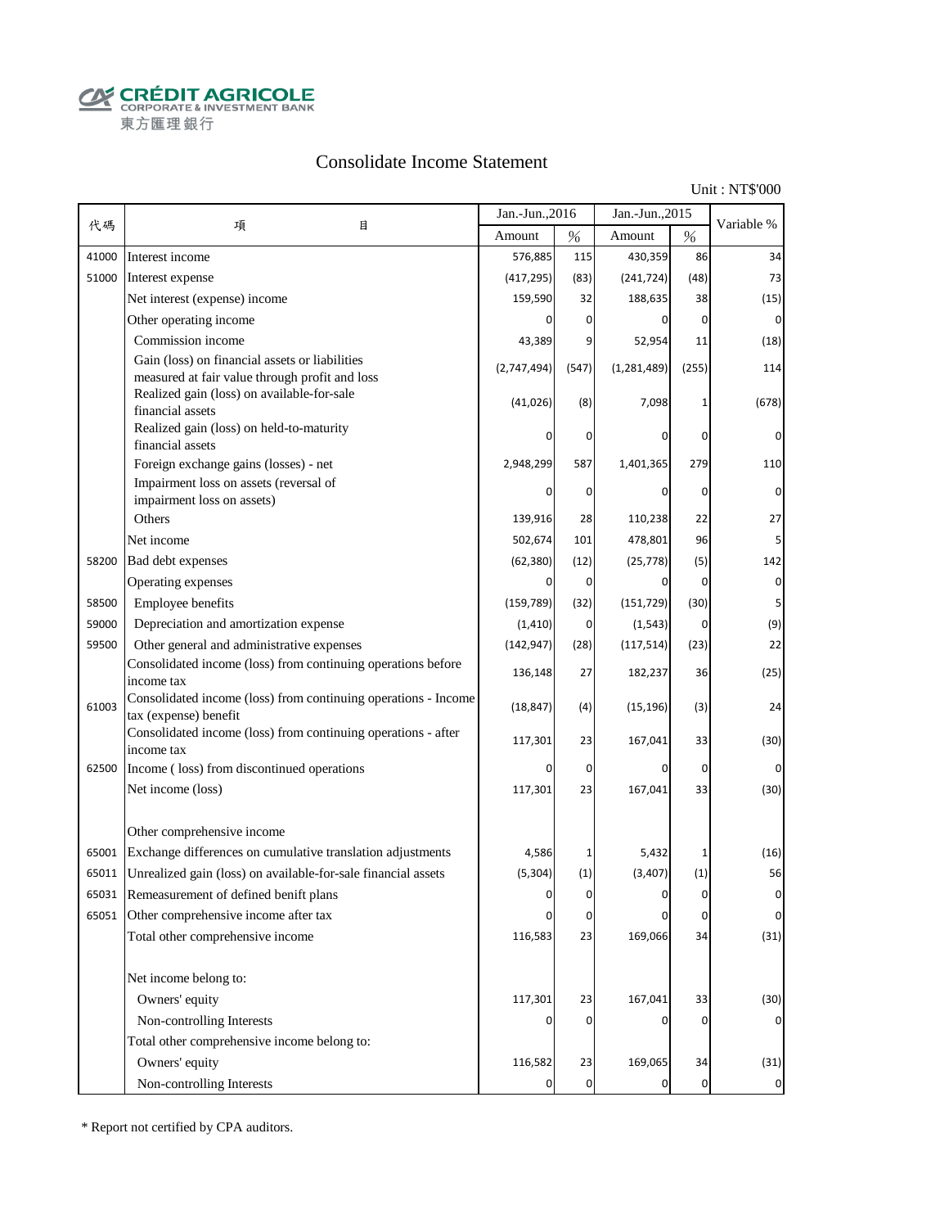**CALCOUT AGRICOLE**<br>
CORPORATE & INVESTMENT BANK<br>
東方匯理銀行

## Consolidate Income Statement

Unit : NT\$'000

|       |                                                                                                  | Jan.-Jun., 2016 |             | Jan.-Jun., 2015 |                | Variable %  |
|-------|--------------------------------------------------------------------------------------------------|-----------------|-------------|-----------------|----------------|-------------|
| 代碼    | 項<br>目                                                                                           | Amount          | $\%$        | Amount          | $\%$           |             |
| 41000 | Interest income                                                                                  | 576,885         | 115         | 430,359         | 86             | 34          |
| 51000 | Interest expense                                                                                 | (417, 295)      | (83)        | (241, 724)      | (48)           | 73          |
|       | Net interest (expense) income                                                                    | 159,590         | 32          | 188,635         | 38             | (15)        |
|       | Other operating income                                                                           |                 | 0           | 0               | $\overline{0}$ | 0           |
|       | Commission income                                                                                | 43,389          | 9           | 52,954          | 11             | (18)        |
|       | Gain (loss) on financial assets or liabilities<br>measured at fair value through profit and loss | (2,747,494)     | (547)       | (1, 281, 489)   | (255)          | 114         |
|       | Realized gain (loss) on available-for-sale<br>financial assets                                   | (41, 026)       | (8)         | 7,098           | 1              | (678)       |
|       | Realized gain (loss) on held-to-maturity<br>financial assets                                     |                 | 0           | 0               | 0              | 0           |
|       | Foreign exchange gains (losses) - net                                                            | 2,948,299       | 587         | 1,401,365       | 279            | 110         |
|       | Impairment loss on assets (reversal of                                                           |                 | 0           | 0               | 0              | 0           |
|       | impairment loss on assets)<br>Others                                                             |                 |             |                 |                |             |
|       |                                                                                                  | 139,916         | 28          | 110,238         | 22             | 27          |
|       | Net income                                                                                       | 502,674         | 101         | 478,801         | 96             |             |
| 58200 | Bad debt expenses                                                                                | (62, 380)       | (12)        | (25, 778)       | (5)            | 142         |
|       | Operating expenses                                                                               | 0               | 0           | 0               | $\overline{0}$ | $\mathbf 0$ |
| 58500 | Employee benefits                                                                                | (159, 789)      | (32)        | (151, 729)      | (30)           | 5           |
| 59000 | Depreciation and amortization expense                                                            | (1, 410)        | 0           | (1, 543)        | $\overline{0}$ | (9)         |
| 59500 | Other general and administrative expenses                                                        | (142, 947)      | (28)        | (117, 514)      | (23)           | 22          |
|       | Consolidated income (loss) from continuing operations before<br>income tax                       | 136,148         | 27          | 182,237         | 36             | (25)        |
| 61003 | Consolidated income (loss) from continuing operations - Income<br>tax (expense) benefit          | (18, 847)       | (4)         | (15, 196)       | (3)            | 24          |
|       | Consolidated income (loss) from continuing operations - after<br>income tax                      | 117,301         | 23          | 167,041         | 33             | (30)        |
| 62500 | Income (loss) from discontinued operations                                                       | 0               | $\mathbf 0$ | 0               | $\mathbf 0$    | 0           |
|       | Net income (loss)                                                                                | 117,301         | 23          | 167,041         | 33             | (30)        |
|       | Other comprehensive income                                                                       |                 |             |                 |                |             |
| 65001 | Exchange differences on cumulative translation adjustments                                       | 4,586           | 1           | 5,432           | 1              | (16)        |
| 65011 | Unrealized gain (loss) on available-for-sale financial assets                                    | (5, 304)        | (1)         | (3, 407)        | (1)            | 56          |
| 65031 | Remeasurement of defined benift plans                                                            | O               | $\Omega$    |                 | $\Omega$       | $\Omega$    |
|       | 65051 Other comprehensive income after tax                                                       | 0               | $\pmb{0}$   | 0               | 0              | $\pmb{0}$   |
|       | Total other comprehensive income                                                                 | 116,583         | 23          | 169,066         | 34             | (31)        |
|       | Net income belong to:                                                                            |                 |             |                 |                |             |
|       | Owners' equity                                                                                   | 117,301         | 23          | 167,041         | 33             | (30)        |
|       | Non-controlling Interests                                                                        |                 | 0           | 0               | 0              |             |
|       | Total other comprehensive income belong to:                                                      |                 |             |                 |                |             |
|       | Owners' equity                                                                                   | 116,582         | 23          | 169,065         | 34             | (31)        |
|       | Non-controlling Interests                                                                        | 0               | $\mathbf 0$ | 0               | $\overline{0}$ | $\mathbf 0$ |

\* Report not certified by CPA auditors.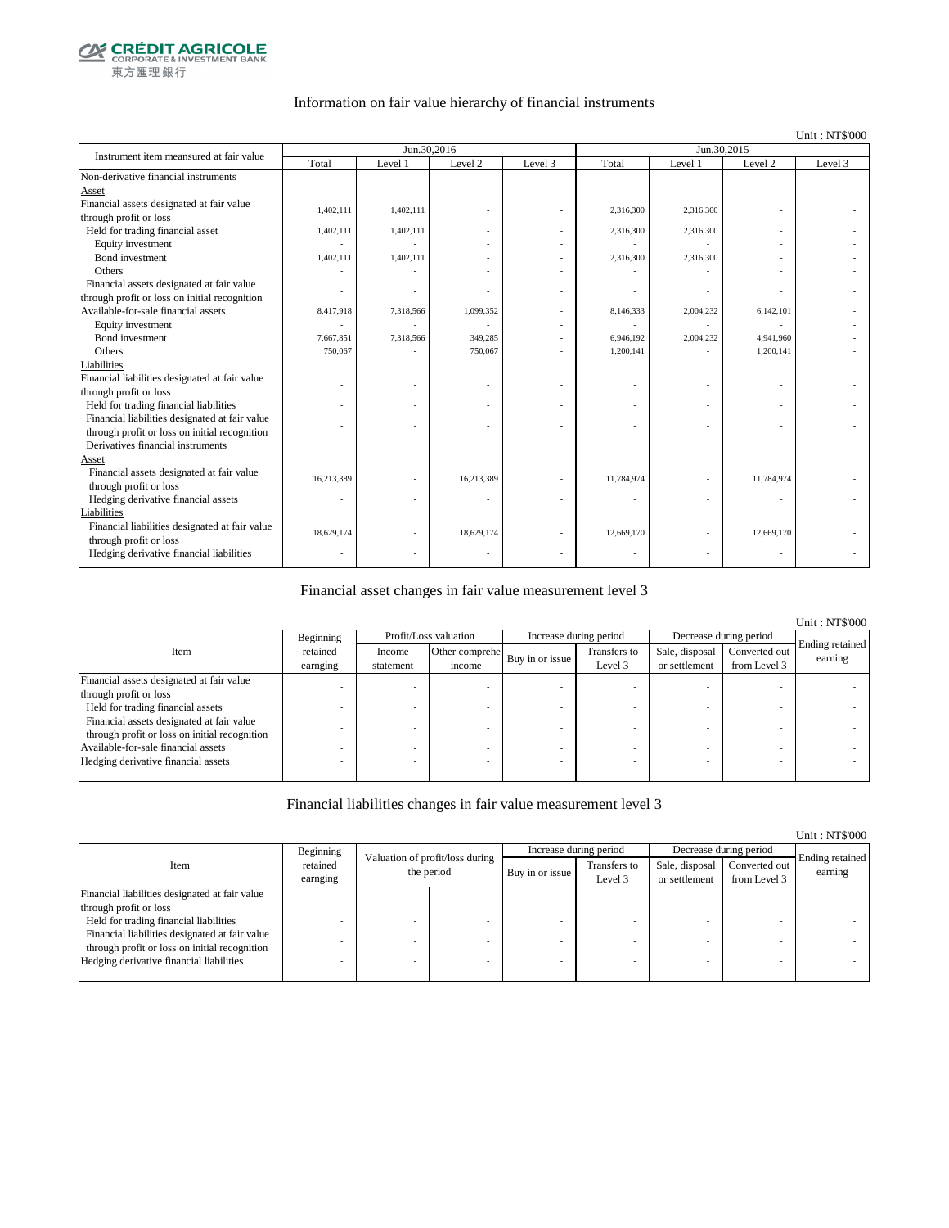

### Information on fair value hierarchy of financial instruments

#### Unit : NT\$'000

| Instrument item meansured at fair value        |            |           | Jun.30,2016 |         | Jun.30.2015 |           |            |         |  |
|------------------------------------------------|------------|-----------|-------------|---------|-------------|-----------|------------|---------|--|
|                                                | Total      | Level 1   | Level 2     | Level 3 | Total       | Level 1   | Level 2    | Level 3 |  |
| Non-derivative financial instruments           |            |           |             |         |             |           |            |         |  |
| Asset                                          |            |           |             |         |             |           |            |         |  |
| Financial assets designated at fair value      | 1,402,111  | 1,402,111 |             |         | 2,316,300   | 2,316,300 |            |         |  |
| through profit or loss                         |            |           |             |         |             |           |            |         |  |
| Held for trading financial asset               | 1,402,111  | 1,402,111 |             |         | 2,316,300   | 2,316,300 |            |         |  |
| Equity investment                              |            |           |             |         |             |           |            |         |  |
| Bond investment                                | 1,402,111  | 1,402,111 |             |         | 2,316,300   | 2,316,300 |            |         |  |
| Others                                         |            |           |             |         |             |           |            |         |  |
| Financial assets designated at fair value      |            |           |             |         |             |           |            |         |  |
| through profit or loss on initial recognition  |            |           |             |         |             |           |            |         |  |
| Available-for-sale financial assets            | 8,417,918  | 7,318,566 | 1,099,352   |         | 8,146,333   | 2,004,232 | 6,142,101  |         |  |
| Equity investment                              |            |           |             |         |             |           |            |         |  |
| Bond investment                                | 7,667,851  | 7,318,566 | 349,285     |         | 6,946,192   | 2,004,232 | 4,941,960  |         |  |
| Others                                         | 750,067    |           | 750,067     |         | 1.200.141   |           | 1,200,141  |         |  |
| Liabilities                                    |            |           |             |         |             |           |            |         |  |
| Financial liabilities designated at fair value |            |           |             |         |             |           |            |         |  |
| through profit or loss                         |            |           |             |         |             |           |            |         |  |
| Held for trading financial liabilities         |            |           |             |         |             |           |            |         |  |
| Financial liabilities designated at fair value |            |           |             |         |             |           |            |         |  |
| through profit or loss on initial recognition  |            |           |             |         |             |           |            |         |  |
| Derivatives financial instruments              |            |           |             |         |             |           |            |         |  |
| Asset                                          |            |           |             |         |             |           |            |         |  |
| Financial assets designated at fair value      | 16,213,389 |           | 16,213,389  |         | 11,784,974  |           | 11,784,974 |         |  |
| through profit or loss                         |            |           |             |         |             |           |            |         |  |
| Hedging derivative financial assets            | ٠          |           |             |         |             | ٠         | ٠          |         |  |
| Liabilities                                    |            |           |             |         |             |           |            |         |  |
| Financial liabilities designated at fair value | 18,629,174 |           | 18,629,174  |         | 12,669,170  |           | 12,669,170 |         |  |
| through profit or loss                         |            |           |             |         |             |           |            |         |  |
| Hedging derivative financial liabilities       |            |           |             |         |             |           |            |         |  |

### Financial asset changes in fair value measurement level 3

|                                               |           |           |                       |                 |                        |                |                        | <b>Unit: NT\$'000</b>      |
|-----------------------------------------------|-----------|-----------|-----------------------|-----------------|------------------------|----------------|------------------------|----------------------------|
|                                               | Beginning |           | Profit/Loss valuation |                 | Increase during period |                | Decrease during period |                            |
| Item                                          | retained  | Income    | Other comprehe        | Buy in or issue | Transfers to           | Sale, disposal | Converted out          | Ending retained<br>earning |
|                                               | earnging  | statement | income                |                 | Level 3                | or settlement  | from Level 3           |                            |
| Financial assets designated at fair value     |           |           |                       |                 |                        |                |                        |                            |
| through profit or loss                        |           |           |                       |                 |                        |                |                        |                            |
| Held for trading financial assets             |           |           |                       |                 |                        |                |                        |                            |
| Financial assets designated at fair value     |           |           |                       |                 |                        |                |                        |                            |
| through profit or loss on initial recognition |           |           |                       |                 |                        |                |                        |                            |
| Available-for-sale financial assets           |           |           |                       |                 |                        |                |                        |                            |
| Hedging derivative financial assets           |           |           |                       |                 |                        |                |                        |                            |
|                                               |           |           |                       |                 |                        |                |                        |                            |

### Financial liabilities changes in fair value measurement level 3

|                                                |                      |                                 |                 |                         |                                 |                               | Unit: NT\$'000             |
|------------------------------------------------|----------------------|---------------------------------|-----------------|-------------------------|---------------------------------|-------------------------------|----------------------------|
|                                                | Beginning            | Valuation of profit/loss during |                 | Increase during period  |                                 | Decrease during period        |                            |
| Item                                           | retained<br>earnging | the period                      | Buy in or issue | Transfers to<br>Level 3 | Sale, disposal<br>or settlement | Converted out<br>from Level 3 | Ending retained<br>earning |
| Financial liabilities designated at fair value |                      |                                 |                 |                         |                                 |                               |                            |
| through profit or loss                         |                      |                                 |                 |                         |                                 |                               |                            |
| Held for trading financial liabilities         |                      |                                 |                 |                         |                                 |                               |                            |
| Financial liabilities designated at fair value |                      |                                 |                 |                         |                                 |                               |                            |
| through profit or loss on initial recognition  |                      |                                 |                 |                         |                                 |                               |                            |
| Hedging derivative financial liabilities       |                      |                                 |                 |                         |                                 | $\overline{\phantom{a}}$      |                            |
|                                                |                      |                                 |                 |                         |                                 |                               |                            |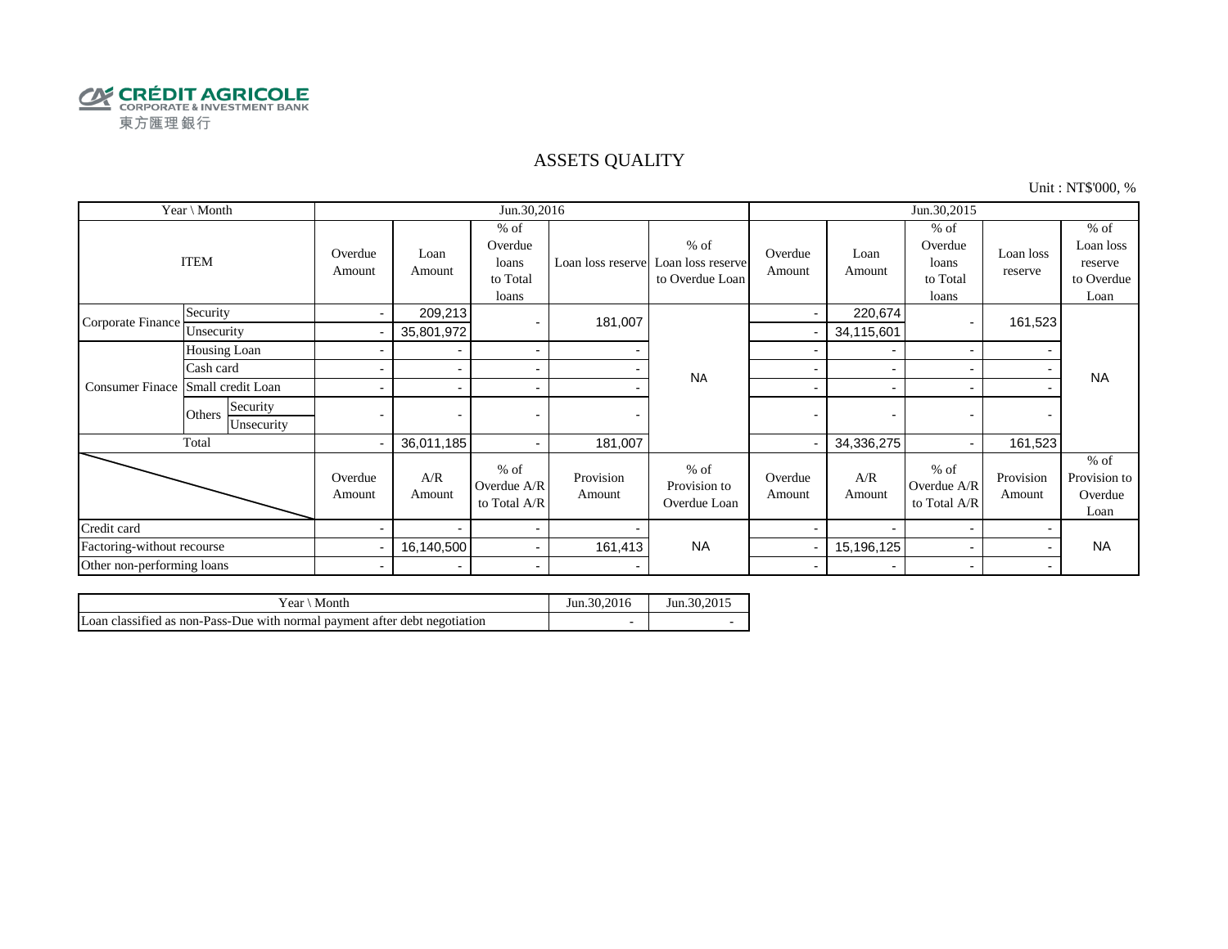

### ASSETS QUALITY

Unit : NT\$'000, %

| Year \ Month               |                                  |                          |                          | Jun.30,2016                                     |                     |                                                                  | Jun.30,2015              |                          |                                                 |                          |                                                      |
|----------------------------|----------------------------------|--------------------------|--------------------------|-------------------------------------------------|---------------------|------------------------------------------------------------------|--------------------------|--------------------------|-------------------------------------------------|--------------------------|------------------------------------------------------|
|                            | <b>ITEM</b>                      | Overdue<br>Amount        | Loan<br>Amount           | $%$ of<br>Overdue<br>loans<br>to Total<br>loans |                     | $%$ of<br>Loan loss reserve Loan loss reserve<br>to Overdue Loan | Overdue<br>Amount        | Loan<br>Amount           | $%$ of<br>Overdue<br>loans<br>to Total<br>loans | Loan loss<br>reserve     | $%$ of<br>Loan loss<br>reserve<br>to Overdue<br>Loan |
| Corporate Finance          | Security                         | $\sim$                   | 209,213                  |                                                 | 181,007             |                                                                  | $\blacksquare$           | 220,674                  |                                                 | 161,523                  |                                                      |
|                            | Unsecurity                       |                          | 35,801,972               |                                                 |                     |                                                                  |                          | 34,115,601               |                                                 |                          |                                                      |
|                            | Housing Loan                     |                          |                          | $\sim$                                          |                     |                                                                  |                          | $\overline{\phantom{a}}$ | $\overline{\phantom{a}}$                        |                          |                                                      |
|                            | Cash card                        |                          |                          | $\sim$                                          |                     | <b>NA</b>                                                        |                          |                          |                                                 |                          | <b>NA</b>                                            |
| <b>Consumer Finace</b>     | Small credit Loan                |                          |                          | $\overline{\phantom{a}}$                        |                     |                                                                  | -                        | $\overline{\phantom{0}}$ |                                                 |                          |                                                      |
|                            | Security<br>Others<br>Unsecurity | $\overline{\phantom{0}}$ | $\overline{\phantom{0}}$ |                                                 | -                   |                                                                  | $\blacksquare$           | $\overline{\phantom{0}}$ |                                                 | $\overline{\phantom{0}}$ |                                                      |
|                            | Total                            | $\overline{\phantom{0}}$ | 36,011,185               | $\sim$                                          | 181,007             |                                                                  |                          | 34,336,275               |                                                 | 161,523                  |                                                      |
|                            |                                  | Overdue<br>Amount        | A/R<br>Amount            | $%$ of<br>Overdue A/R<br>to Total A/R           | Provision<br>Amount | $%$ of<br>Provision to<br>Overdue Loan                           | Overdue<br>Amount        | A/R<br>Amount            | $%$ of<br>Overdue A/R<br>to Total A/R           | Provision<br>Amount      | $%$ of<br>Provision to<br>Overdue<br>Loan            |
| Credit card                |                                  |                          |                          | $\sim$                                          |                     |                                                                  |                          |                          |                                                 |                          |                                                      |
| Factoring-without recourse |                                  |                          | 16,140,500               | $\sim$                                          | 161,413             | <b>NA</b>                                                        |                          | 15,196,125               |                                                 |                          | <b>NA</b>                                            |
| Other non-performing loans |                                  | $\blacksquare$           | $\overline{\phantom{0}}$ | $\blacksquare$                                  |                     |                                                                  | $\overline{\phantom{a}}$ | $\overline{\phantom{0}}$ | $\overline{\phantom{0}}$                        |                          |                                                      |

| Month<br>$Year \setminus$                                                  | Jun.30.2016 | Jun. 30, 2015 |
|----------------------------------------------------------------------------|-------------|---------------|
| Loan classified as non-Pass-Due with normal payment after debt negotiation |             |               |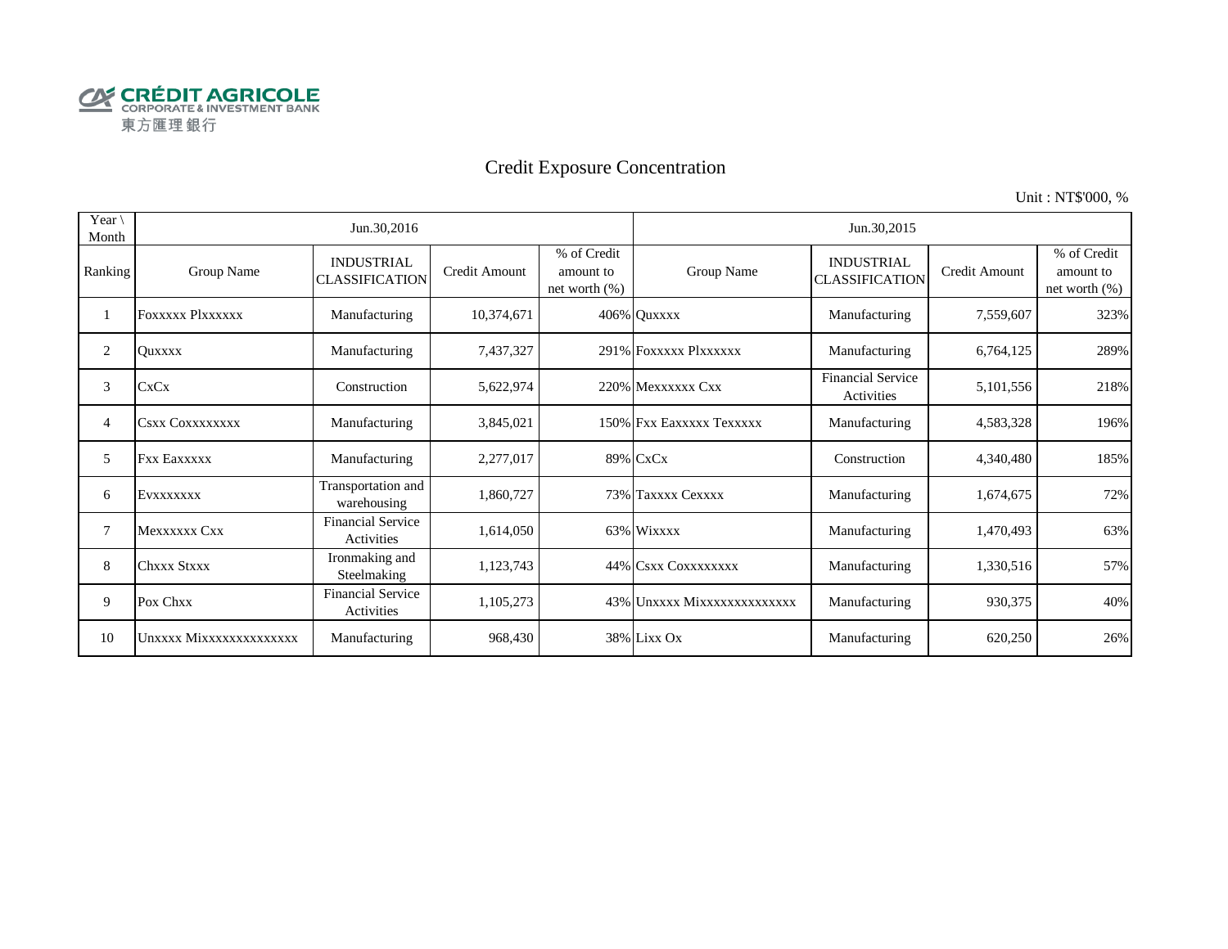

# Credit Exposure Concentration

Unit : NT\$'000, %

| Year \<br>Month |                         | Jun.30,2016                                   |               |                                              | Jun.30,2015                 |                                            |               |                                           |  |  |
|-----------------|-------------------------|-----------------------------------------------|---------------|----------------------------------------------|-----------------------------|--------------------------------------------|---------------|-------------------------------------------|--|--|
| Ranking         | Group Name              | <b>INDUSTRIAL</b><br><b>CLASSIFICATION</b>    | Credit Amount | % of Credit<br>amount to<br>net worth $(\%)$ | Group Name                  | <b>INDUSTRIAL</b><br><b>CLASSIFICATION</b> | Credit Amount | % of Credit<br>amount to<br>net worth (%) |  |  |
|                 | <b>FOXXXXX PIXXXXXX</b> | Manufacturing                                 | 10,374,671    |                                              | 406% Quxxxx                 | Manufacturing                              | 7,559,607     | 323%                                      |  |  |
| 2               | <b>Ouxxxx</b>           | Manufacturing                                 | 7,437,327     |                                              | 291% FOXXXXX Plxxxxxx       | Manufacturing                              | 6,764,125     | 289%                                      |  |  |
| 3               | <b>CxCx</b>             | Construction                                  | 5,622,974     |                                              | 220% Mexxxxxx Cxx           | <b>Financial Service</b><br>Activities     | 5,101,556     | 218%                                      |  |  |
| 4               | <b>CSXX COXXXXXXXX</b>  | Manufacturing                                 | 3,845,021     |                                              | 150% Fxx Eaxxxxx Texxxxx    | Manufacturing                              | 4,583,328     | 196%                                      |  |  |
| 5               | <b>Fxx Eaxxxxx</b>      | Manufacturing                                 | 2,277,017     |                                              | 89% CxCx                    | Construction                               | 4,340,480     | 185%                                      |  |  |
| 6               | EVXXXXXXX               | Transportation and<br>warehousing             | 1,860,727     |                                              | 73% Taxxxx Cexxxx           | Manufacturing                              | 1,674,675     | 72%                                       |  |  |
| 7               | Mexxxxxx Cxx            | <b>Financial Service</b><br><b>Activities</b> | 1,614,050     |                                              | 63% Wixxxx                  | Manufacturing                              | 1,470,493     | 63%                                       |  |  |
| 8               | Chxxx Stxxx             | Ironmaking and<br>Steelmaking                 | 1,123,743     |                                              | 44% CSXX COXXXXXXXX         | Manufacturing                              | 1,330,516     | 57%                                       |  |  |
| 9               | Pox Chxx                | <b>Financial Service</b><br>Activities        | 1,105,273     |                                              | 43% Unxxxx Mixxxxxxxxxxxxxx | Manufacturing                              | 930,375       | 40%                                       |  |  |
| 10              | Unxxxx Mixxxxxxxxxxxxxx | Manufacturing                                 | 968,430       |                                              | 38% Lixx Ox                 | Manufacturing                              | 620,250       | 26%                                       |  |  |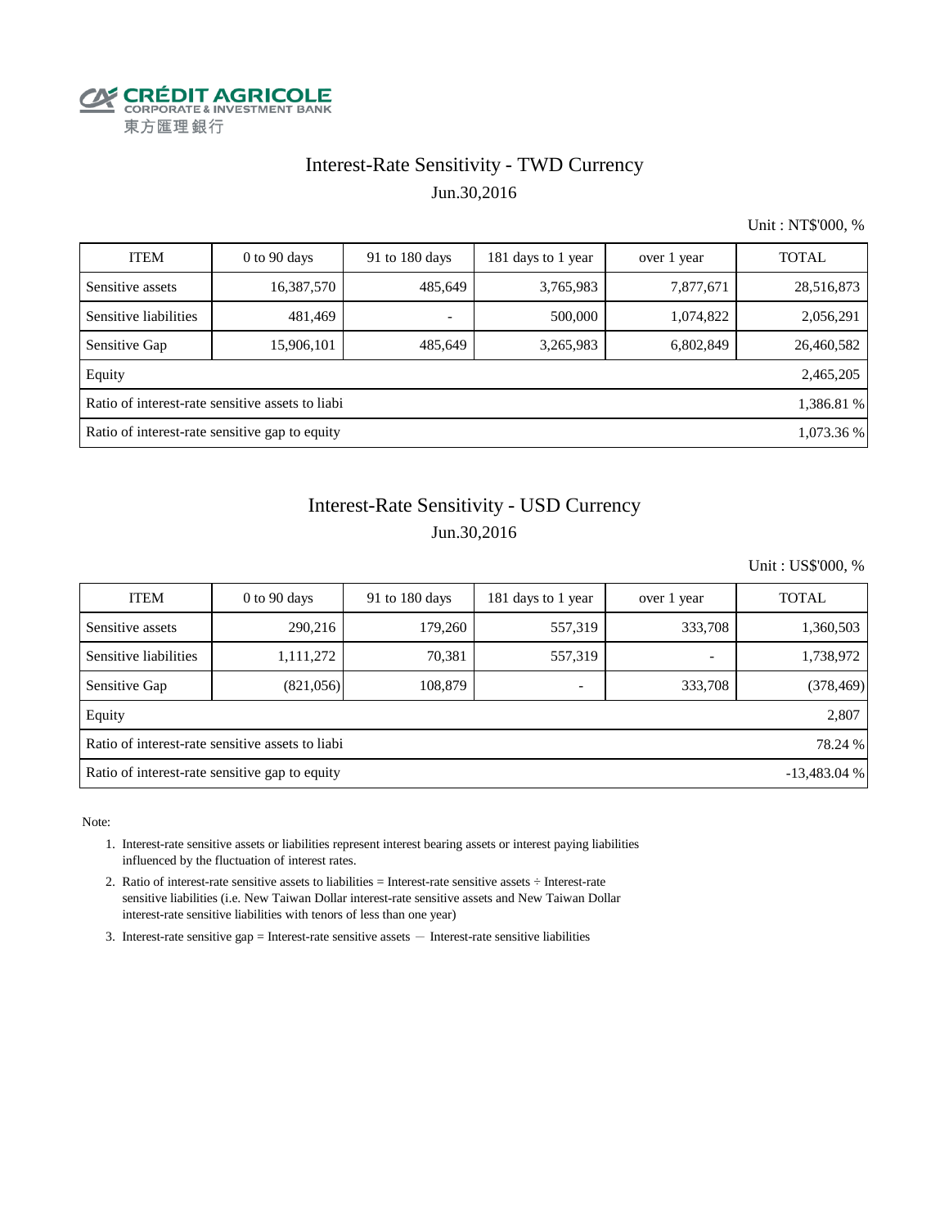

## Interest-Rate Sensitivity - TWD Currency Jun.30,2016

Unit : NT\$'000, %

| <b>ITEM</b>                                                    | $0$ to $90$ days | 91 to 180 days | 181 days to 1 year | over 1 year | <b>TOTAL</b> |  |  |  |
|----------------------------------------------------------------|------------------|----------------|--------------------|-------------|--------------|--|--|--|
| Sensitive assets                                               | 16,387,570       | 485,649        | 3,765,983          | 7,877,671   | 28,516,873   |  |  |  |
| Sensitive liabilities                                          | 481,469          | ۰              | 500,000            | 1,074,822   | 2,056,291    |  |  |  |
| Sensitive Gap                                                  | 15,906,101       | 485,649        | 3,265,983          | 6,802,849   | 26,460,582   |  |  |  |
| Equity                                                         |                  |                |                    |             | 2,465,205    |  |  |  |
| Ratio of interest-rate sensitive assets to liabi<br>1,386.81 % |                  |                |                    |             |              |  |  |  |
| Ratio of interest-rate sensitive gap to equity<br>1,073.36 %   |                  |                |                    |             |              |  |  |  |

# Jun.30,2016 Interest-Rate Sensitivity - USD Currency

Unit : US\$'000, %

| <b>ITEM</b>                                                     | $0$ to 90 days | 91 to 180 days | 181 days to 1 year | over 1 year              | <b>TOTAL</b> |  |  |  |  |
|-----------------------------------------------------------------|----------------|----------------|--------------------|--------------------------|--------------|--|--|--|--|
| Sensitive assets                                                | 290,216        | 179,260        | 557,319            | 333,708                  | 1,360,503    |  |  |  |  |
| Sensitive liabilities                                           | 1,111,272      | 70,381         | 557,319            | $\overline{\phantom{0}}$ | 1,738,972    |  |  |  |  |
| Sensitive Gap                                                   | (821,056)      | 108.879        |                    | 333,708                  | (378, 469)   |  |  |  |  |
| Equity                                                          |                |                |                    |                          | 2,807        |  |  |  |  |
| Ratio of interest-rate sensitive assets to liabi<br>78.24 %     |                |                |                    |                          |              |  |  |  |  |
| Ratio of interest-rate sensitive gap to equity<br>$-13,483.04%$ |                |                |                    |                          |              |  |  |  |  |

Note:

- 1. Interest-rate sensitive assets or liabilities represent interest bearing assets or interest paying liabilities influenced by the fluctuation of interest rates.
- 2. Ratio of interest-rate sensitive assets to liabilities = Interest-rate sensitive assets ÷ Interest-rate sensitive liabilities (i.e. New Taiwan Dollar interest-rate sensitive assets and New Taiwan Dollar interest-rate sensitive liabilities with tenors of less than one year)
- 3. Interest-rate sensitive gap = Interest-rate sensitive assets  $-$  Interest-rate sensitive liabilities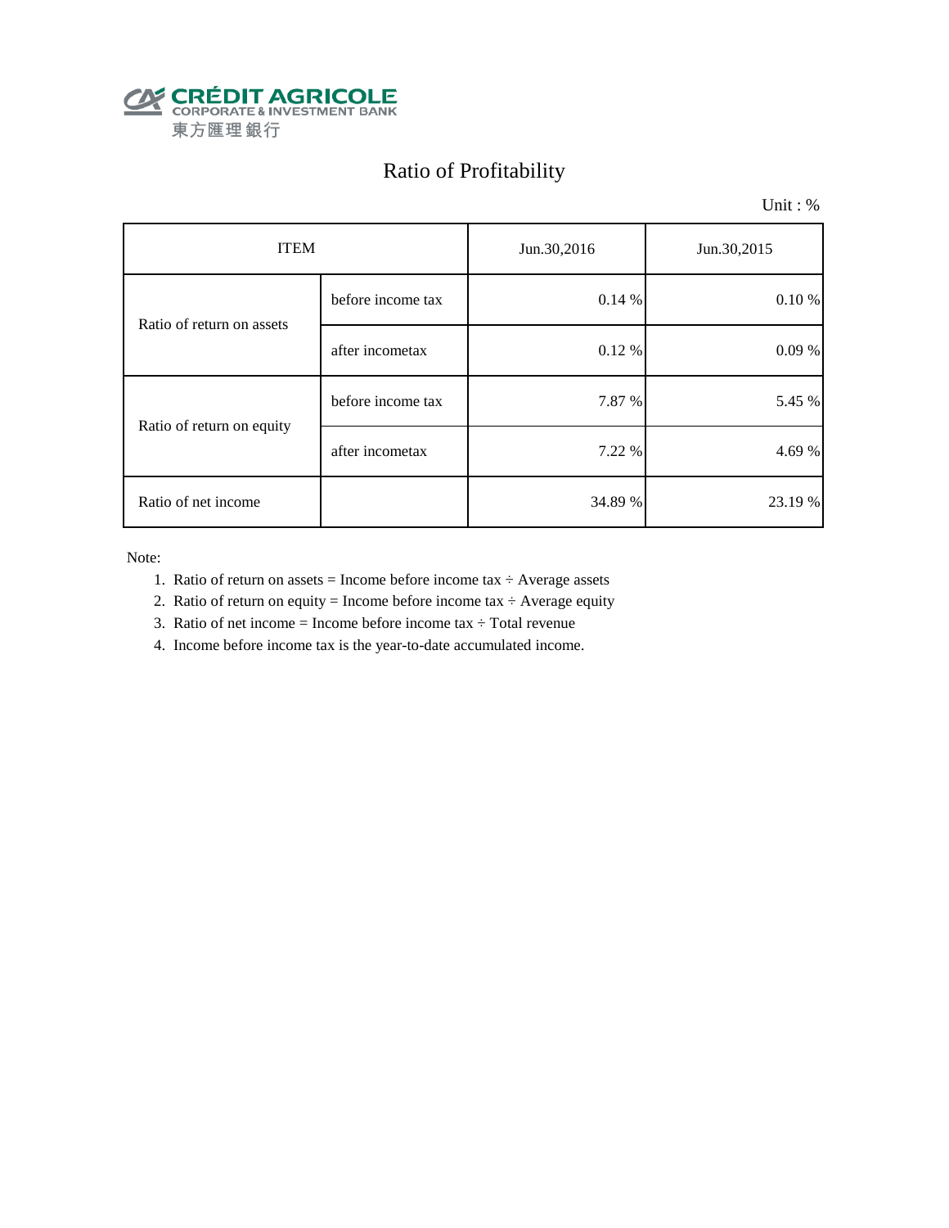

# Ratio of Profitability

Unit : %

| <b>ITEM</b>               |                   | Jun.30,2016 | Jun.30,2015 |  |
|---------------------------|-------------------|-------------|-------------|--|
| Ratio of return on assets | before income tax | 0.14%       | $0.10 \%$   |  |
|                           | after incometax   | 0.12 %      | 0.09%       |  |
| Ratio of return on equity | before income tax | 7.87 %      | 5.45 %      |  |
|                           | after incometax   | 7.22 %      | 4.69 %      |  |
| Ratio of net income       |                   | 34.89 %     | 23.19 %     |  |

Note:

- 1. Ratio of return on assets = Income before income tax  $\div$  Average assets
- 2. Ratio of return on equity = Income before income tax  $\div$  Average equity
- 3. Ratio of net income = Income before income tax  $\div$  Total revenue
- 4. Income before income tax is the year-to-date accumulated income.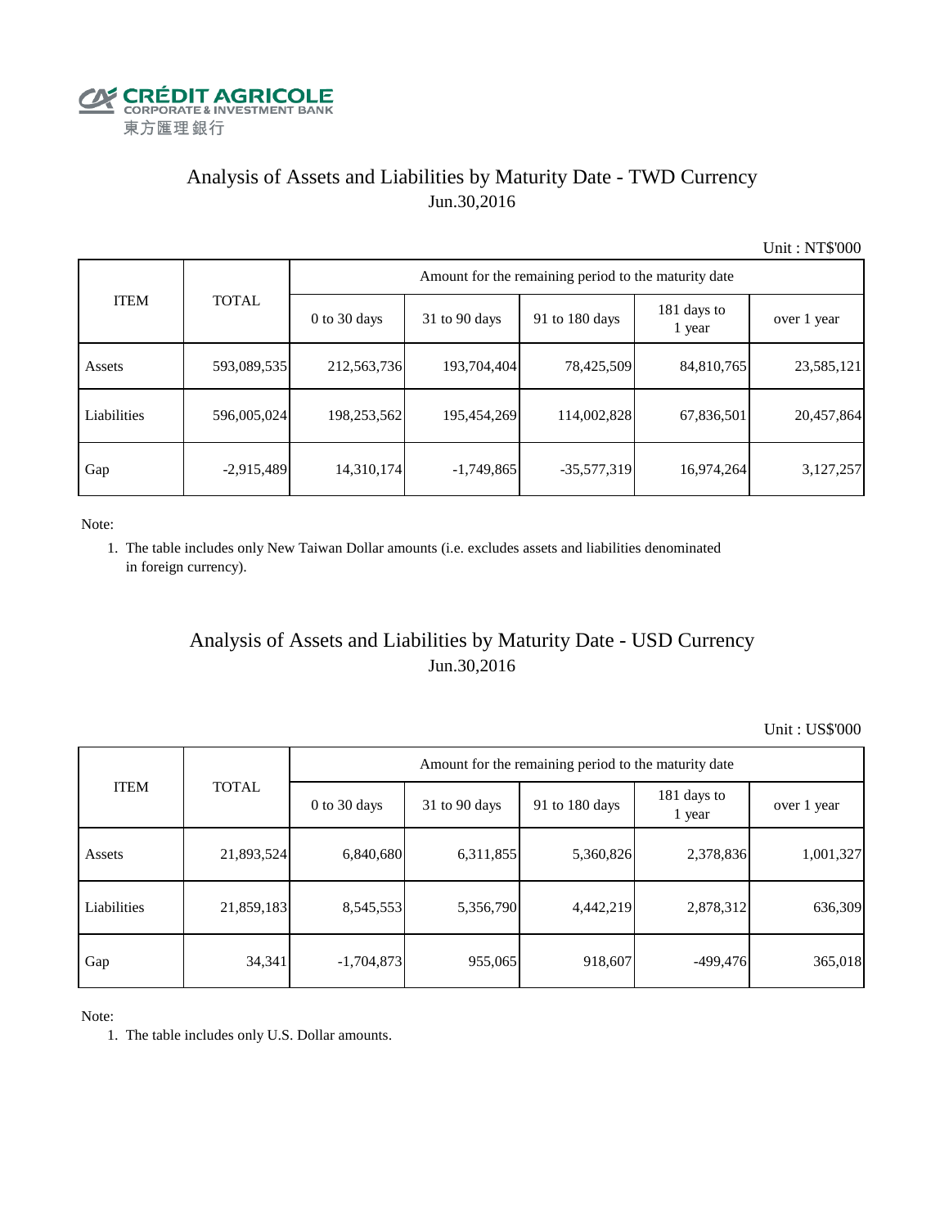

# Analysis of Assets and Liabilities by Maturity Date - TWD Currency Jun.30,2016

Unit : NT\$'000

| <b>ITEM</b> | <b>TOTAL</b> | Amount for the remaining period to the maturity date |                 |                |                       |             |  |  |
|-------------|--------------|------------------------------------------------------|-----------------|----------------|-----------------------|-------------|--|--|
|             |              | $0$ to 30 days                                       | $31$ to 90 days | 91 to 180 days | 181 days to<br>1 year | over 1 year |  |  |
| Assets      | 593,089,535  | 212,563,736                                          | 193,704,404     | 78,425,509     | 84,810,765            | 23,585,121  |  |  |
| Liabilities | 596,005,024  | 198,253,562                                          | 195,454,269     | 114,002,828    | 67,836,501            | 20,457,864  |  |  |
| Gap         | $-2,915,489$ | 14,310,174                                           | $-1,749,865$    | $-35,577,319$  | 16,974,264            | 3,127,257   |  |  |

Note:

 1. The table includes only New Taiwan Dollar amounts (i.e. excludes assets and liabilities denominated in foreign currency).

# Analysis of Assets and Liabilities by Maturity Date - USD Currency Jun.30,2016

Unit : US\$'000

|             | <b>TOTAL</b> | Amount for the remaining period to the maturity date |                 |                |                       |             |  |  |
|-------------|--------------|------------------------------------------------------|-----------------|----------------|-----------------------|-------------|--|--|
| <b>ITEM</b> |              | $0$ to 30 days                                       | $31$ to 90 days | 91 to 180 days | 181 days to<br>1 year | over 1 year |  |  |
| Assets      | 21,893,524   | 6,840,680                                            | 6,311,855       | 5,360,826      | 2,378,836             | 1,001,327   |  |  |
| Liabilities | 21,859,183   | 8,545,553                                            | 5,356,790       | 4,442,219      | 2,878,312             | 636,309     |  |  |
| Gap         | 34,341       | $-1,704,873$                                         | 955,065         | 918,607        | $-499,476$            | 365,018     |  |  |

Note:

1. The table includes only U.S. Dollar amounts.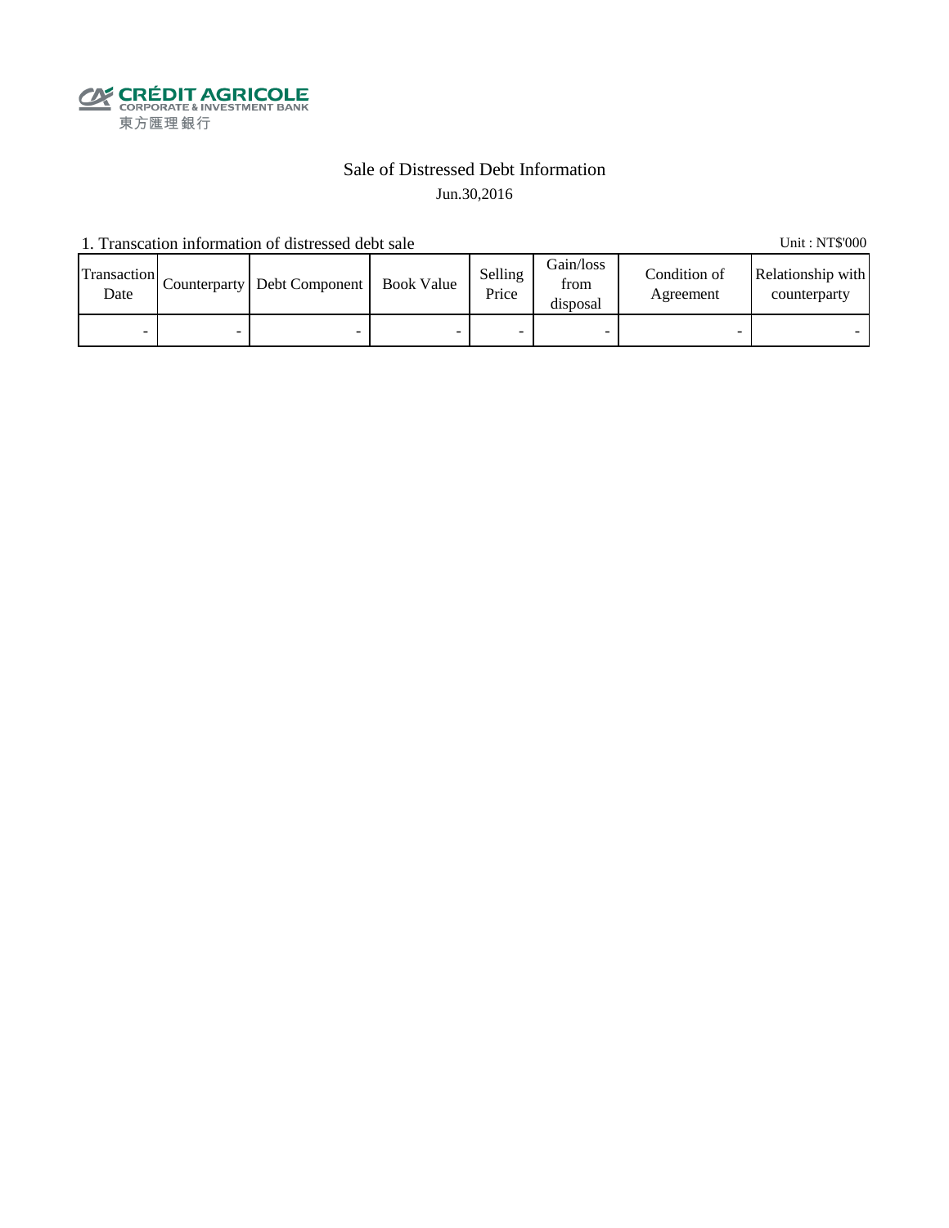

## Sale of Distressed Debt Information Jun.30,2016

1. Transcation information of distressed debt sale Unit: NT\$'000

Transaction  $\frac{\text{D}}{\text{Date}}$  Counterparty Debt Component Book Value Selling Price Gain/loss from disposal Condition of Agreement Relationship with counterparty - - - - - - - -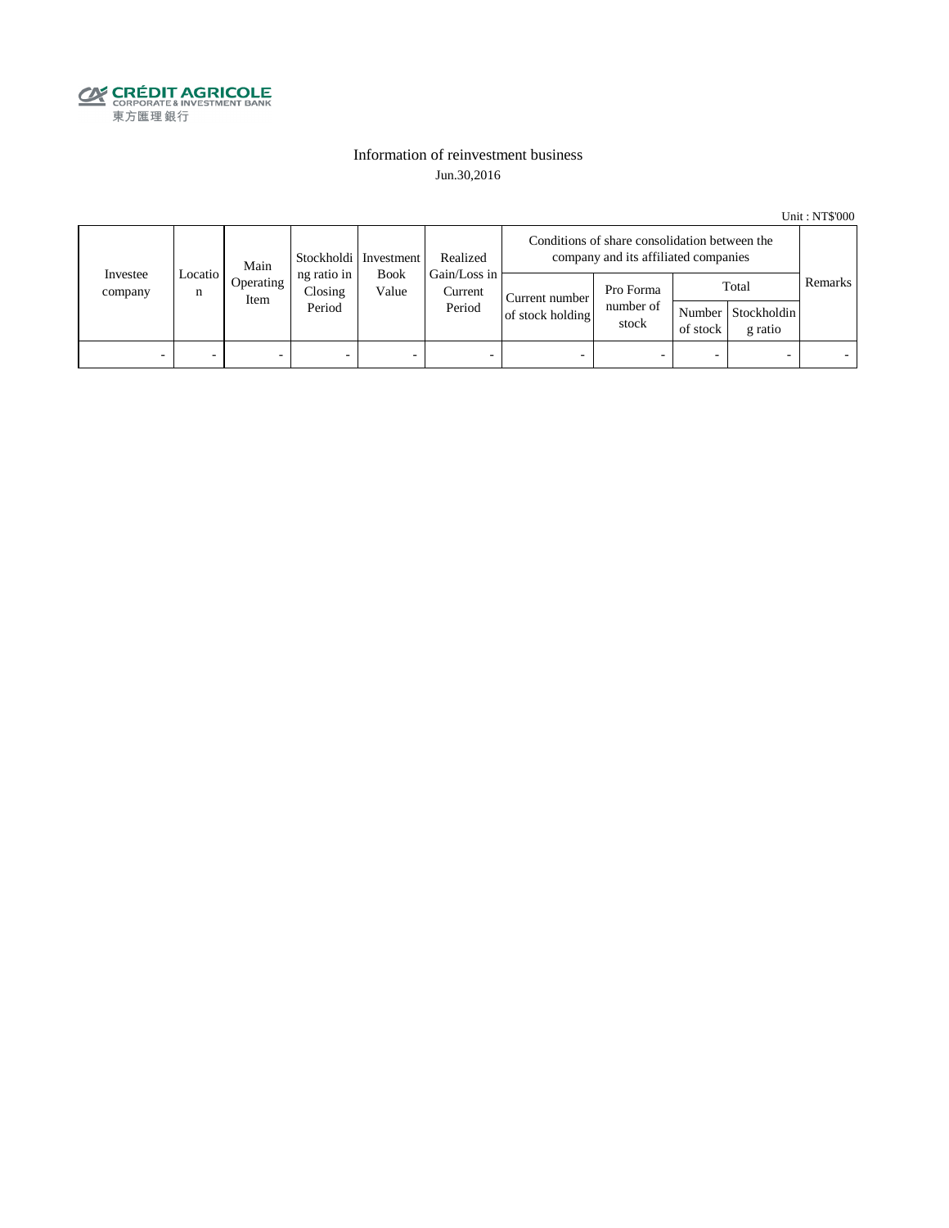

### Information of reinvestment business Jun.30,2016

Unit : NT\$'000

|                     | Main         |                   | Stockholdi   Investment          | Realized             | Conditions of share consolidation between the<br>company and its affiliated companies |                                    |                                 |          |                                        |         |
|---------------------|--------------|-------------------|----------------------------------|----------------------|---------------------------------------------------------------------------------------|------------------------------------|---------------------------------|----------|----------------------------------------|---------|
| Investee<br>company | Locatio<br>n | Operating<br>Item | ng ratio in<br>Closing<br>Period | <b>Book</b><br>Value | Gain/Loss in<br>Current<br>Period                                                     | Current number<br>of stock holding | Pro Forma<br>number of<br>stock | of stock | Total<br>Number Stockholdin<br>g ratio | Remarks |
| -                   |              | -                 |                                  | -                    | $\overline{\phantom{a}}$                                                              |                                    |                                 | -        |                                        |         |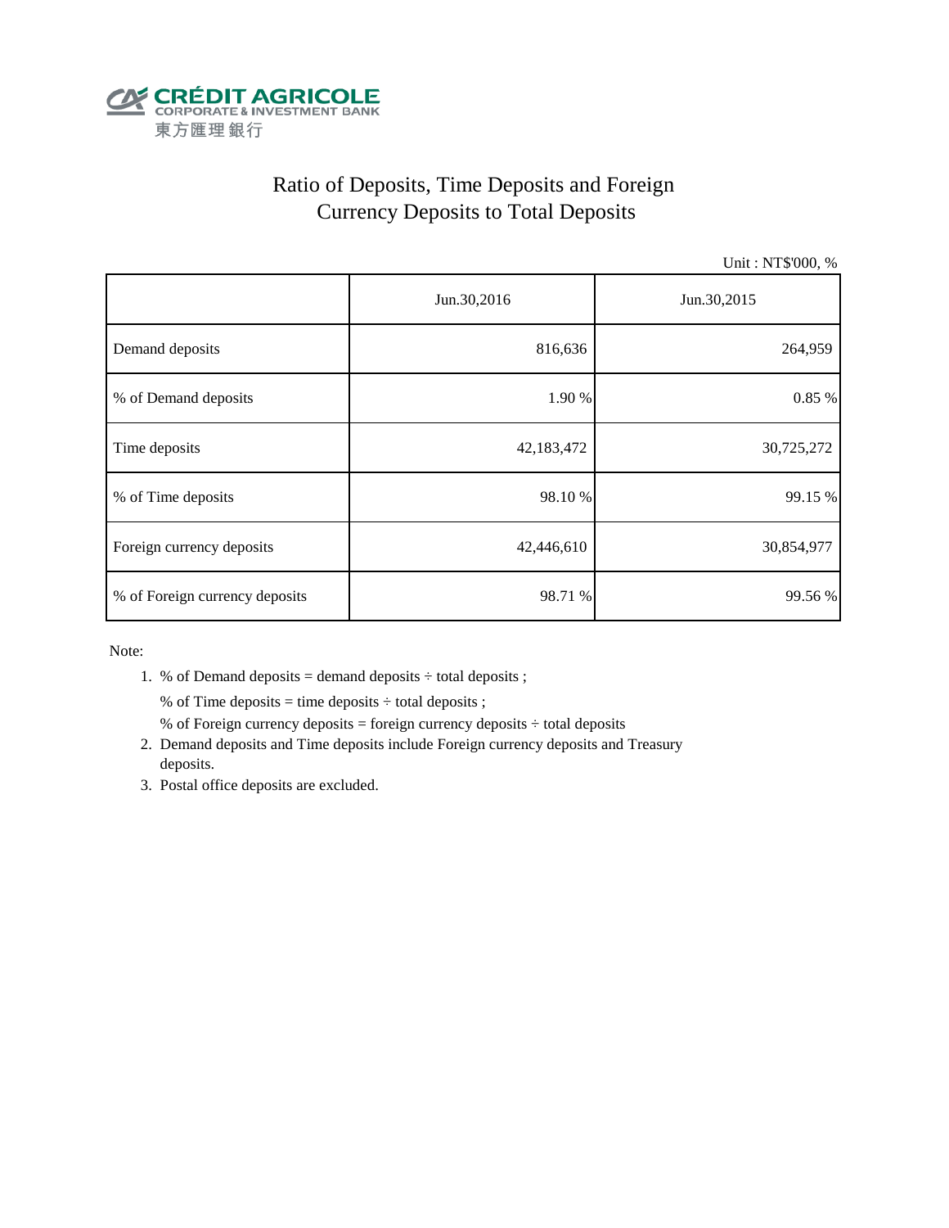

# Ratio of Deposits, Time Deposits and Foreign Currency Deposits to Total Deposits

Unit : NT\$'000, %

|                                | Jun.30,2016 | Jun.30,2015 |  |
|--------------------------------|-------------|-------------|--|
| Demand deposits                | 816,636     | 264,959     |  |
| % of Demand deposits           | 1.90 %      | 0.85%       |  |
| Time deposits                  | 42,183,472  | 30,725,272  |  |
| % of Time deposits             | 98.10 %     | 99.15 %     |  |
| Foreign currency deposits      | 42,446,610  | 30,854,977  |  |
| % of Foreign currency deposits | 98.71 %     | 99.56 %     |  |

Note:

1. % of Demand deposits = demand deposits  $\div$  total deposits ;

% of Time deposits = time deposits  $\div$  total deposits ;

- % of Foreign currency deposits = foreign currency deposits  $\div$  total deposits
- 2. Demand deposits and Time deposits include Foreign currency deposits and Treasury deposits.
- 3. Postal office deposits are excluded.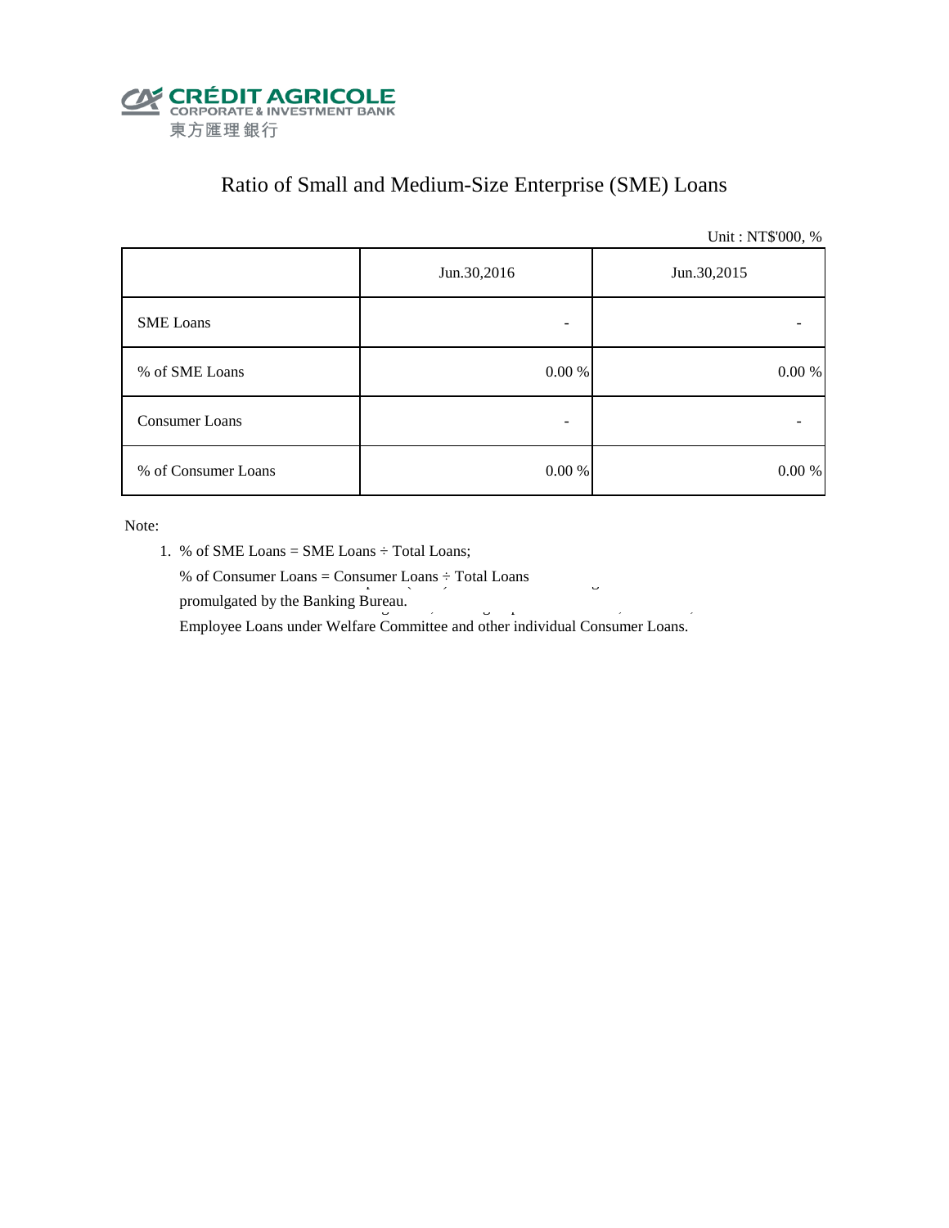

# Ratio of Small and Medium-Size Enterprise (SME) Loans

Unit : NT\$'000, %

|                     | Jun.30,2016 | Jun.30,2015 |  |  |
|---------------------|-------------|-------------|--|--|
| <b>SME</b> Loans    |             |             |  |  |
| % of SME Loans      | 0.00 %      | $0.00\ \%$  |  |  |
| Consumer Loans      |             |             |  |  |
| % of Consumer Loans | 0.00 %      | 0.00 %      |  |  |

Note:

- 1. % of SME Loans = SME Loans ÷ Total Loans;
- % of Consumer Loans = Consumer Loans  $\div$  Total Loans promulgated by the Banking Bureau.  $\frac{3}{5}$

Employee Loans under Welfare Committee and other individual Consumer Loans.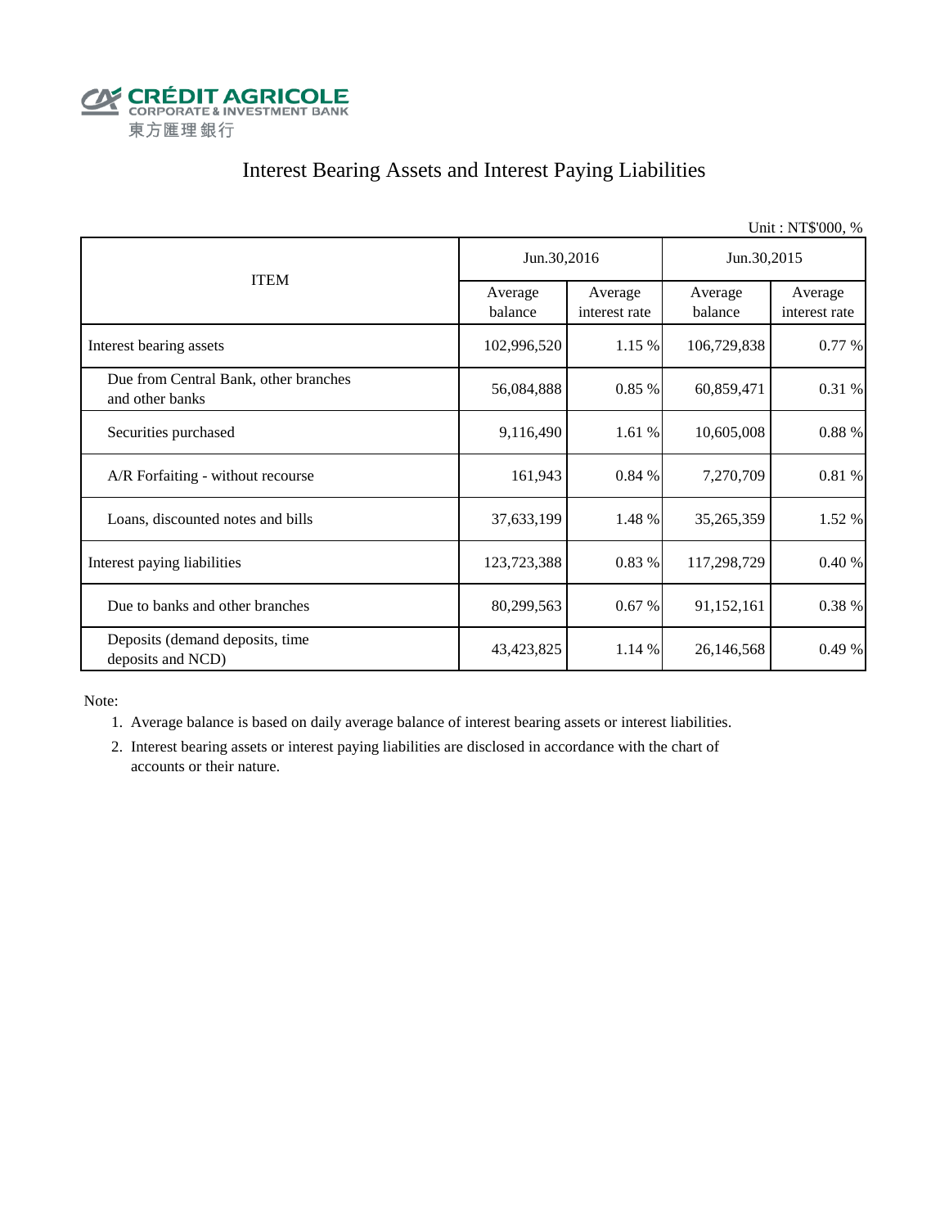

# Interest Bearing Assets and Interest Paying Liabilities

|                                                          |                    |                          |                    | Unit: NT\$'000, %        |  |
|----------------------------------------------------------|--------------------|--------------------------|--------------------|--------------------------|--|
|                                                          | Jun.30,2016        |                          | Jun.30,2015        |                          |  |
| <b>ITEM</b>                                              | Average<br>balance | Average<br>interest rate | Average<br>balance | Average<br>interest rate |  |
| Interest bearing assets                                  | 102,996,520        | 1.15 %                   | 106,729,838        | 0.77 %                   |  |
| Due from Central Bank, other branches<br>and other banks | 56,084,888         | 0.85%                    | 60,859,471         | 0.31 %                   |  |
| Securities purchased                                     | 9,116,490          | 1.61%                    | 10,605,008         | $0.88~\%$                |  |
| A/R Forfaiting - without recourse                        | 161,943            | 0.84 %                   | 7,270,709          | 0.81 %                   |  |
| Loans, discounted notes and bills                        | 37,633,199         | 1.48 %                   | 35,265,359         | 1.52 %                   |  |
| Interest paying liabilities                              | 123,723,388        | 0.83 %                   | 117,298,729        | 0.40%                    |  |
| Due to banks and other branches                          | 80,299,563         | 0.67%                    | 91,152,161         | 0.38 %                   |  |
| Deposits (demand deposits, time<br>deposits and NCD)     | 43, 423, 825       | 1.14 %                   | 26,146,568         | 0.49%                    |  |

Note:

1. Average balance is based on daily average balance of interest bearing assets or interest liabilities.

 2. Interest bearing assets or interest paying liabilities are disclosed in accordance with the chart of accounts or their nature.